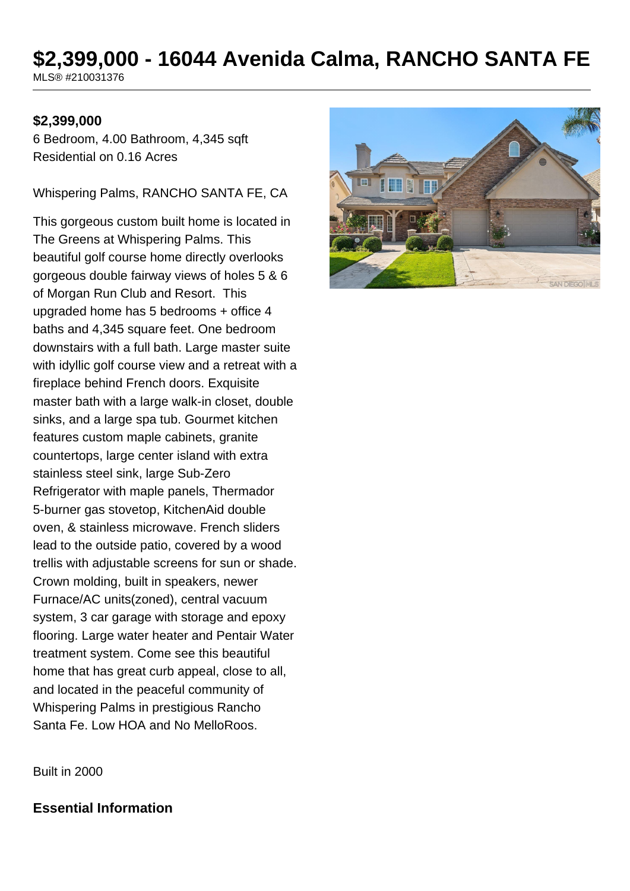# **\$2,399,000 - 16044 Avenida Calma, RANCHO SANTA FE**

MLS® #210031376

#### **\$2,399,000**

6 Bedroom, 4.00 Bathroom, 4,345 sqft Residential on 0.16 Acres

Whispering Palms, RANCHO SANTA FE, CA

This gorgeous custom built home is located in The Greens at Whispering Palms. This beautiful golf course home directly overlooks gorgeous double fairway views of holes 5 & 6 of Morgan Run Club and Resort. This upgraded home has 5 bedrooms + office 4 baths and 4,345 square feet. One bedroom downstairs with a full bath. Large master suite with idyllic golf course view and a retreat with a fireplace behind French doors. Exquisite master bath with a large walk-in closet, double sinks, and a large spa tub. Gourmet kitchen features custom maple cabinets, granite countertops, large center island with extra stainless steel sink, large Sub-Zero Refrigerator with maple panels, Thermador 5-burner gas stovetop, KitchenAid double oven, & stainless microwave. French sliders lead to the outside patio, covered by a wood trellis with adjustable screens for sun or shade. Crown molding, built in speakers, newer Furnace/AC units(zoned), central vacuum system, 3 car garage with storage and epoxy flooring. Large water heater and Pentair Water treatment system. Come see this beautiful home that has great curb appeal, close to all, and located in the peaceful community of Whispering Palms in prestigious Rancho Santa Fe. Low HOA and No MelloRoos.



Built in 2000

#### **Essential Information**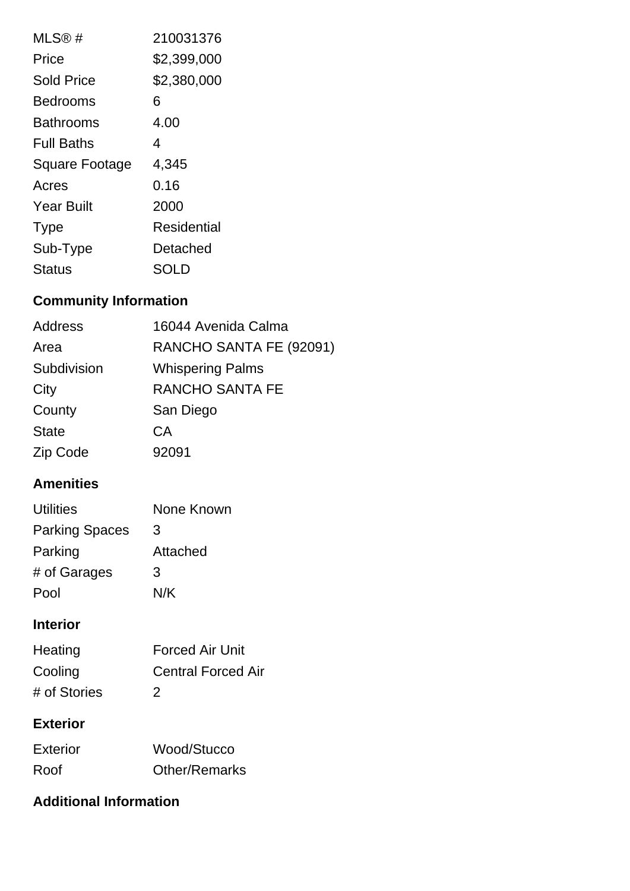| MLS@#                 | 210031376   |
|-----------------------|-------------|
| Price                 | \$2,399,000 |
| <b>Sold Price</b>     | \$2,380,000 |
| Bedrooms              | 6           |
| Bathrooms             | 4.00        |
| <b>Full Baths</b>     | 4           |
| <b>Square Footage</b> | 4,345       |
| Acres                 | 0.16        |
| <b>Year Built</b>     | 2000        |
| <b>Type</b>           | Residential |
| Sub-Type              | Detached    |
|                       |             |

## **Community Information**

| <b>Address</b> | 16044 Avenida Calma     |
|----------------|-------------------------|
| Area           | RANCHO SANTA FE (92091) |
| Subdivision    | <b>Whispering Palms</b> |
| City           | <b>RANCHO SANTA FE</b>  |
| County         | San Diego               |
| <b>State</b>   | СA                      |
| Zip Code       | 92091                   |

### **Amenities**

| Utilities             | None Known |
|-----------------------|------------|
| <b>Parking Spaces</b> | 3          |
| Parking               | Attached   |
| # of Garages          | 3          |
| Pool                  | N/K        |

### **Interior**

| Heating      | <b>Forced Air Unit</b>    |
|--------------|---------------------------|
| Cooling      | <b>Central Forced Air</b> |
| # of Stories | $\mathcal{P}$             |

### **Exterior**

| Exterior | Wood/Stucco          |
|----------|----------------------|
| Roof     | <b>Other/Remarks</b> |

### **Additional Information**